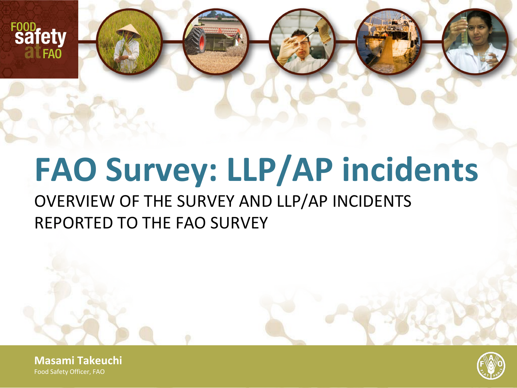

# **FAO Survey: LLP/AP incidents**

### OVERVIEW OF THE SURVEY AND LLP/AP INCIDENTS REPORTED TO THE FAO SURVEY

**Masami Takeuchi** Food Safety Officer, FAO

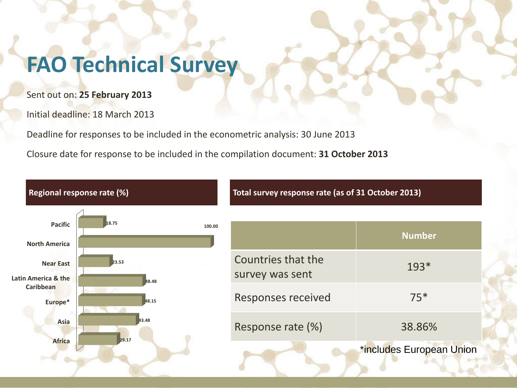### **FAO Technical Survey**

Sent out on: **25 February 2013**

Initial deadline: 18 March 2013

Deadline for responses to be included in the econometric analysis: 30 June 2013

Closure date for response to be included in the compilation document: **31 October 2013**

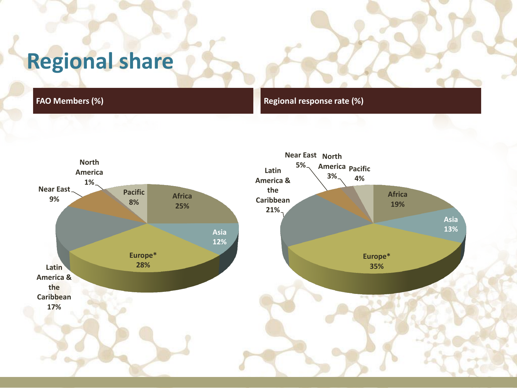### **Regional share**

**FAO Members (%) Regional response rate (%)** 

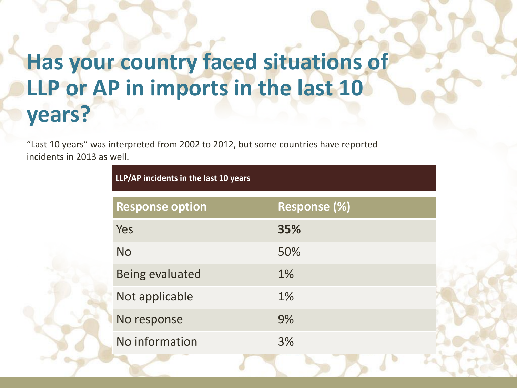### **Has your country faced situations of LLP or AP in imports in the last 10 years?**

"Last 10 years" was interpreted from 2002 to 2012, but some countries have reported incidents in 2013 as well.

**LLP/AP incidents in the last 10 years**

| <b>Response option</b> | Response (%) |
|------------------------|--------------|
| Yes                    | 35%          |
| <b>No</b>              | 50%          |
| <b>Being evaluated</b> | 1%           |
| Not applicable         | 1%           |
| No response            | 9%           |
| No information         | 3%           |
|                        |              |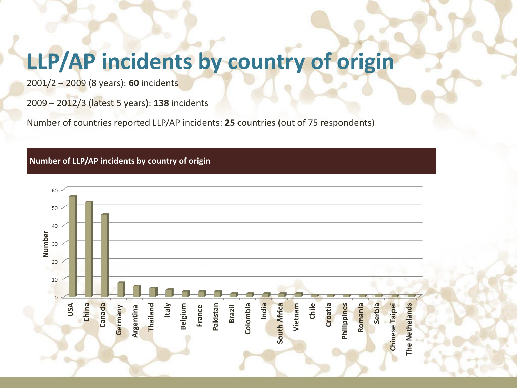## **LLP/AP incidents by country of origin**

2001/2 – 2009 (8 years): **60** incidents

2009 – 2012/3 (latest 5 years): **138** incidents

Number of countries reported LLP/AP incidents: **25** countries (out of 75 respondents)

#### **Number of LLP/AP incidents by country of origin**

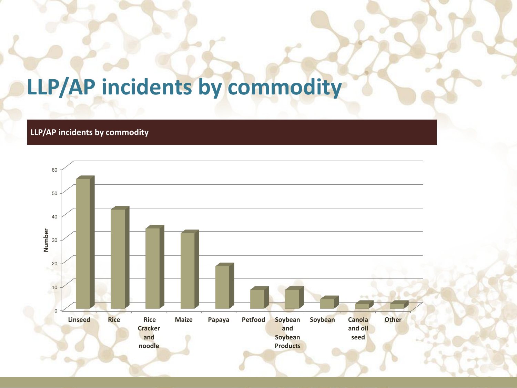### **LLP/AP incidents by commodity**

#### **LLP/AP incidents by commodity**